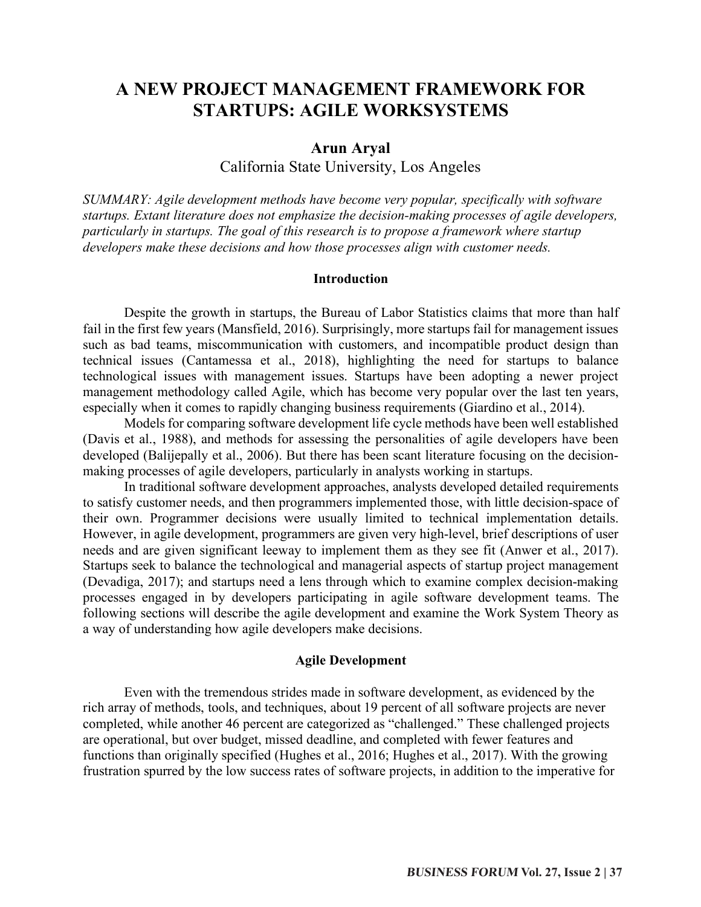# **A NEW PROJECT MANAGEMENT FRAMEWORK FOR STARTUPS: AGILE WORKSYSTEMS**

# **Arun Aryal**

California State University, Los Angeles

*SUMMARY: Agile development methods have become very popular, specifically with software startups. Extant literature does not emphasize the decision-making processes of agile developers, particularly in startups. The goal of this research is to propose a framework where startup developers make these decisions and how those processes align with customer needs.*

#### **Introduction**

Despite the growth in startups, the Bureau of Labor Statistics claims that more than half fail in the first few years (Mansfield, 2016). Surprisingly, more startups fail for management issues such as bad teams, miscommunication with customers, and incompatible product design than technical issues (Cantamessa et al., 2018), highlighting the need for startups to balance technological issues with management issues. Startups have been adopting a newer project management methodology called Agile, which has become very popular over the last ten years, especially when it comes to rapidly changing business requirements (Giardino et al., 2014).

Models for comparing software development life cycle methods have been well established (Davis et al., 1988), and methods for assessing the personalities of agile developers have been developed (Balijepally et al., 2006). But there has been scant literature focusing on the decisionmaking processes of agile developers, particularly in analysts working in startups.

In traditional software development approaches, analysts developed detailed requirements to satisfy customer needs, and then programmers implemented those, with little decision-space of their own. Programmer decisions were usually limited to technical implementation details. However, in agile development, programmers are given very high-level, brief descriptions of user needs and are given significant leeway to implement them as they see fit (Anwer et al., 2017). Startups seek to balance the technological and managerial aspects of startup project management (Devadiga, 2017); and startups need a lens through which to examine complex decision-making processes engaged in by developers participating in agile software development teams. The following sections will describe the agile development and examine the Work System Theory as a way of understanding how agile developers make decisions.

#### **Agile Development**

Even with the tremendous strides made in software development, as evidenced by the rich array of methods, tools, and techniques, about 19 percent of all software projects are never completed, while another 46 percent are categorized as "challenged." These challenged projects are operational, but over budget, missed deadline, and completed with fewer features and functions than originally specified (Hughes et al., 2016; Hughes et al., 2017). With the growing frustration spurred by the low success rates of software projects, in addition to the imperative for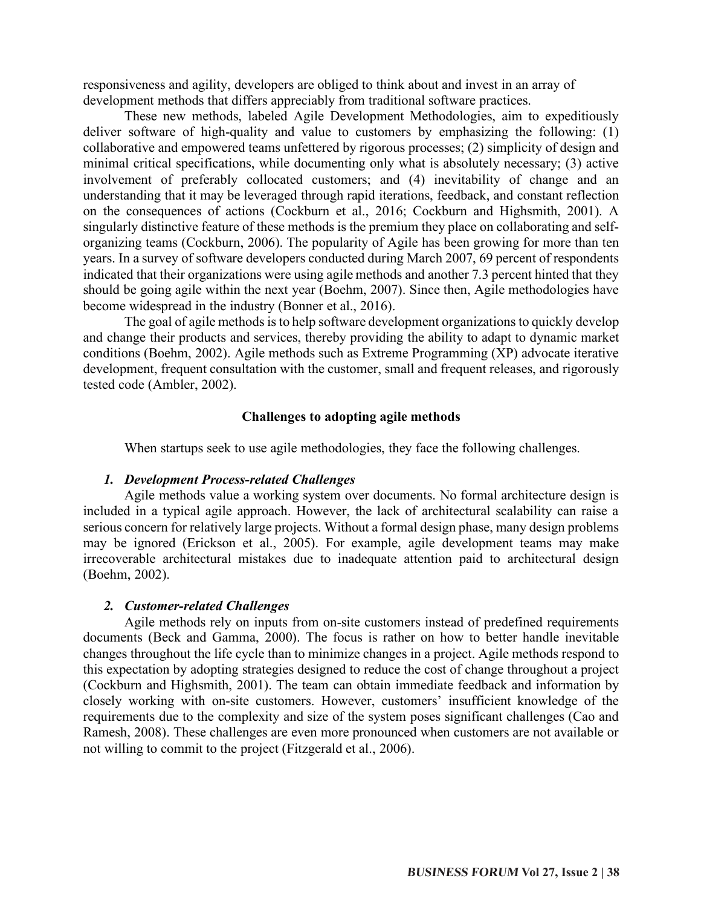responsiveness and agility, developers are obliged to think about and invest in an array of development methods that differs appreciably from traditional software practices.

These new methods, labeled Agile Development Methodologies, aim to expeditiously deliver software of high-quality and value to customers by emphasizing the following: (1) collaborative and empowered teams unfettered by rigorous processes; (2) simplicity of design and minimal critical specifications, while documenting only what is absolutely necessary; (3) active involvement of preferably collocated customers; and (4) inevitability of change and an understanding that it may be leveraged through rapid iterations, feedback, and constant reflection on the consequences of actions (Cockburn et al., 2016; Cockburn and Highsmith, 2001). A singularly distinctive feature of these methods is the premium they place on collaborating and selforganizing teams (Cockburn, 2006). The popularity of Agile has been growing for more than ten years. In a survey of software developers conducted during March 2007, 69 percent of respondents indicated that their organizations were using agile methods and another 7.3 percent hinted that they should be going agile within the next year (Boehm, 2007). Since then, Agile methodologies have become widespread in the industry (Bonner et al., 2016).

The goal of agile methods is to help software development organizations to quickly develop and change their products and services, thereby providing the ability to adapt to dynamic market conditions (Boehm, 2002). Agile methods such as Extreme Programming (XP) advocate iterative development, frequent consultation with the customer, small and frequent releases, and rigorously tested code (Ambler, 2002).

# **Challenges to adopting agile methods**

When startups seek to use agile methodologies, they face the following challenges.

# *1. Development Process-related Challenges*

Agile methods value a working system over documents. No formal architecture design is included in a typical agile approach. However, the lack of architectural scalability can raise a serious concern for relatively large projects. Without a formal design phase, many design problems may be ignored (Erickson et al., 2005). For example, agile development teams may make irrecoverable architectural mistakes due to inadequate attention paid to architectural design (Boehm, 2002).

# *2. Customer-related Challenges*

Agile methods rely on inputs from on-site customers instead of predefined requirements documents (Beck and Gamma, 2000). The focus is rather on how to better handle inevitable changes throughout the life cycle than to minimize changes in a project. Agile methods respond to this expectation by adopting strategies designed to reduce the cost of change throughout a project (Cockburn and Highsmith, 2001). The team can obtain immediate feedback and information by closely working with on-site customers. However, customers' insufficient knowledge of the requirements due to the complexity and size of the system poses significant challenges (Cao and Ramesh, 2008). These challenges are even more pronounced when customers are not available or not willing to commit to the project (Fitzgerald et al., 2006).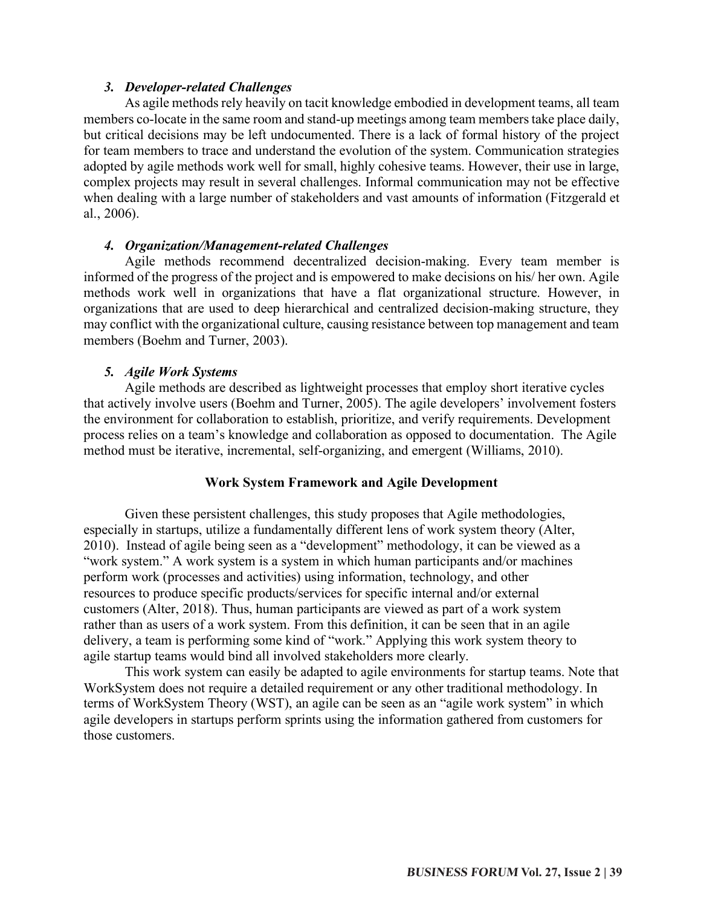# *3. Developer-related Challenges*

As agile methods rely heavily on tacit knowledge embodied in development teams, all team members co-locate in the same room and stand-up meetings among team members take place daily, but critical decisions may be left undocumented. There is a lack of formal history of the project for team members to trace and understand the evolution of the system. Communication strategies adopted by agile methods work well for small, highly cohesive teams. However, their use in large, complex projects may result in several challenges. Informal communication may not be effective when dealing with a large number of stakeholders and vast amounts of information (Fitzgerald et al., 2006).

#### *4. Organization/Management-related Challenges*

Agile methods recommend decentralized decision-making. Every team member is informed of the progress of the project and is empowered to make decisions on his/ her own. Agile methods work well in organizations that have a flat organizational structure. However, in organizations that are used to deep hierarchical and centralized decision-making structure, they may conflict with the organizational culture, causing resistance between top management and team members (Boehm and Turner, 2003).

## *5. Agile Work Systems*

Agile methods are described as lightweight processes that employ short iterative cycles that actively involve users (Boehm and Turner, 2005). The agile developers' involvement fosters the environment for collaboration to establish, prioritize, and verify requirements. Development process relies on a team's knowledge and collaboration as opposed to documentation. The Agile method must be iterative, incremental, self-organizing, and emergent (Williams, 2010).

#### **Work System Framework and Agile Development**

Given these persistent challenges, this study proposes that Agile methodologies, especially in startups, utilize a fundamentally different lens of work system theory (Alter, 2010). Instead of agile being seen as a "development" methodology, it can be viewed as a "work system." A work system is a system in which human participants and/or machines perform work (processes and activities) using information, technology, and other resources to produce specific products/services for specific internal and/or external customers (Alter, 2018). Thus, human participants are viewed as part of a work system rather than as users of a work system. From this definition, it can be seen that in an agile delivery, a team is performing some kind of "work." Applying this work system theory to agile startup teams would bind all involved stakeholders more clearly.

This work system can easily be adapted to agile environments for startup teams. Note that WorkSystem does not require a detailed requirement or any other traditional methodology. In terms of WorkSystem Theory (WST), an agile can be seen as an "agile work system" in which agile developers in startups perform sprints using the information gathered from customers for those customers.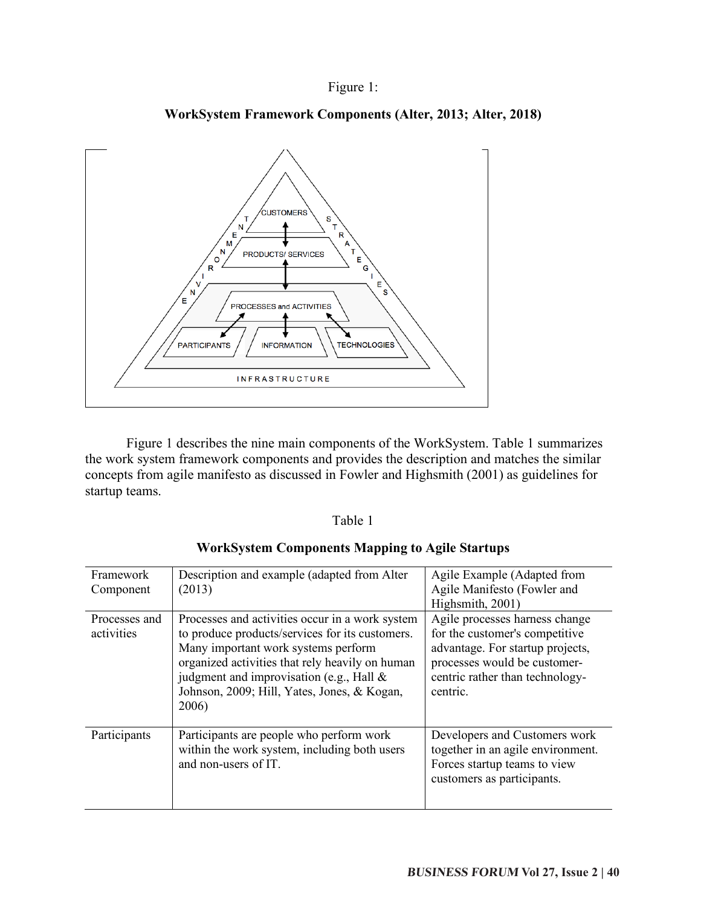# Figure 1:



**WorkSystem Framework Components (Alter, 2013; Alter, 2018)**

Figure 1 describes the nine main components of the WorkSystem. Table 1 summarizes the work system framework components and provides the description and matches the similar concepts from agile manifesto as discussed in Fowler and Highsmith (2001) as guidelines for startup teams.

#### Table 1

| Framework<br>Component      | Description and example (adapted from Alter<br>(2013)                                                                                                                                                                                                                                               | Agile Example (Adapted from<br>Agile Manifesto (Fowler and<br>Highsmith, 2001)                                                                                                      |
|-----------------------------|-----------------------------------------------------------------------------------------------------------------------------------------------------------------------------------------------------------------------------------------------------------------------------------------------------|-------------------------------------------------------------------------------------------------------------------------------------------------------------------------------------|
| Processes and<br>activities | Processes and activities occur in a work system<br>to produce products/services for its customers.<br>Many important work systems perform<br>organized activities that rely heavily on human<br>judgment and improvisation (e.g., Hall $\&$<br>Johnson, 2009; Hill, Yates, Jones, & Kogan,<br>2006) | Agile processes harness change<br>for the customer's competitive<br>advantage. For startup projects,<br>processes would be customer-<br>centric rather than technology-<br>centric. |
| Participants                | Participants are people who perform work<br>within the work system, including both users<br>and non-users of IT.                                                                                                                                                                                    | Developers and Customers work<br>together in an agile environment.<br>Forces startup teams to view<br>customers as participants.                                                    |

# **WorkSystem Components Mapping to Agile Startups**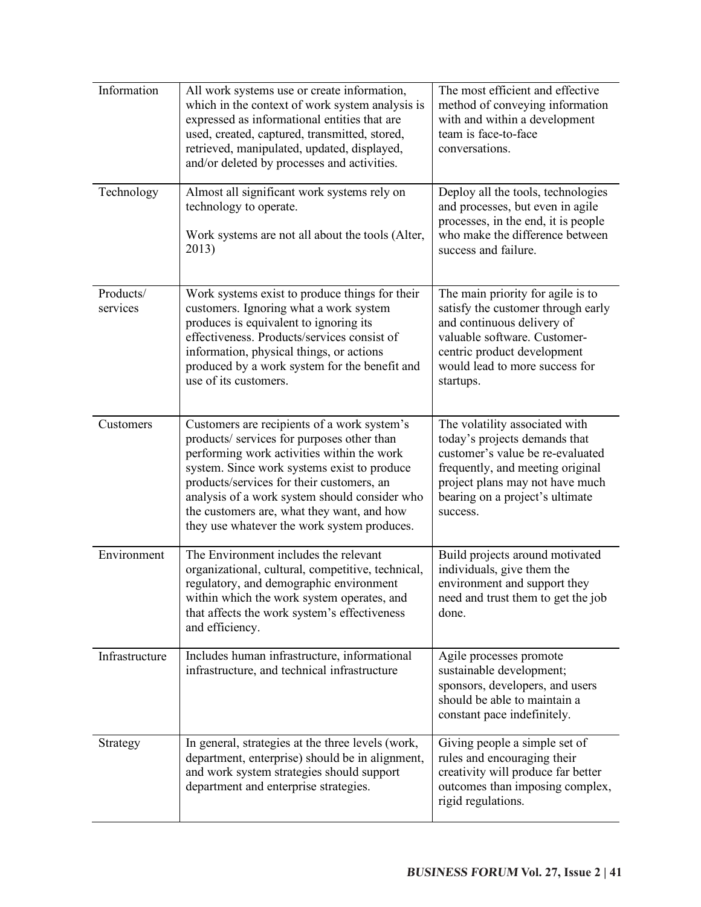| Information           | All work systems use or create information,<br>which in the context of work system analysis is<br>expressed as informational entities that are<br>used, created, captured, transmitted, stored,<br>retrieved, manipulated, updated, displayed,<br>and/or deleted by processes and activities.                                                                                     | The most efficient and effective<br>method of conveying information<br>with and within a development<br>team is face-to-face<br>conversations.                                                                            |
|-----------------------|-----------------------------------------------------------------------------------------------------------------------------------------------------------------------------------------------------------------------------------------------------------------------------------------------------------------------------------------------------------------------------------|---------------------------------------------------------------------------------------------------------------------------------------------------------------------------------------------------------------------------|
| Technology            | Almost all significant work systems rely on<br>technology to operate.<br>Work systems are not all about the tools (Alter,<br>2013)                                                                                                                                                                                                                                                | Deploy all the tools, technologies<br>and processes, but even in agile<br>processes, in the end, it is people<br>who make the difference between<br>success and failure.                                                  |
| Products/<br>services | Work systems exist to produce things for their<br>customers. Ignoring what a work system<br>produces is equivalent to ignoring its<br>effectiveness. Products/services consist of<br>information, physical things, or actions<br>produced by a work system for the benefit and<br>use of its customers.                                                                           | The main priority for agile is to<br>satisfy the customer through early<br>and continuous delivery of<br>valuable software. Customer-<br>centric product development<br>would lead to more success for<br>startups.       |
| Customers             | Customers are recipients of a work system's<br>products/ services for purposes other than<br>performing work activities within the work<br>system. Since work systems exist to produce<br>products/services for their customers, an<br>analysis of a work system should consider who<br>the customers are, what they want, and how<br>they use whatever the work system produces. | The volatility associated with<br>today's projects demands that<br>customer's value be re-evaluated<br>frequently, and meeting original<br>project plans may not have much<br>bearing on a project's ultimate<br>success. |
| Environment           | The Environment includes the relevant<br>organizational, cultural, competitive, technical,<br>regulatory, and demographic environment<br>within which the work system operates, and<br>that affects the work system's effectiveness<br>and efficiency.                                                                                                                            | Build projects around motivated<br>individuals, give them the<br>environment and support they<br>need and trust them to get the job<br>done.                                                                              |
| Infrastructure        | Includes human infrastructure, informational<br>infrastructure, and technical infrastructure                                                                                                                                                                                                                                                                                      | Agile processes promote<br>sustainable development;<br>sponsors, developers, and users<br>should be able to maintain a<br>constant pace indefinitely.                                                                     |
| Strategy              | In general, strategies at the three levels (work,<br>department, enterprise) should be in alignment,<br>and work system strategies should support<br>department and enterprise strategies.                                                                                                                                                                                        | Giving people a simple set of<br>rules and encouraging their<br>creativity will produce far better<br>outcomes than imposing complex,<br>rigid regulations.                                                               |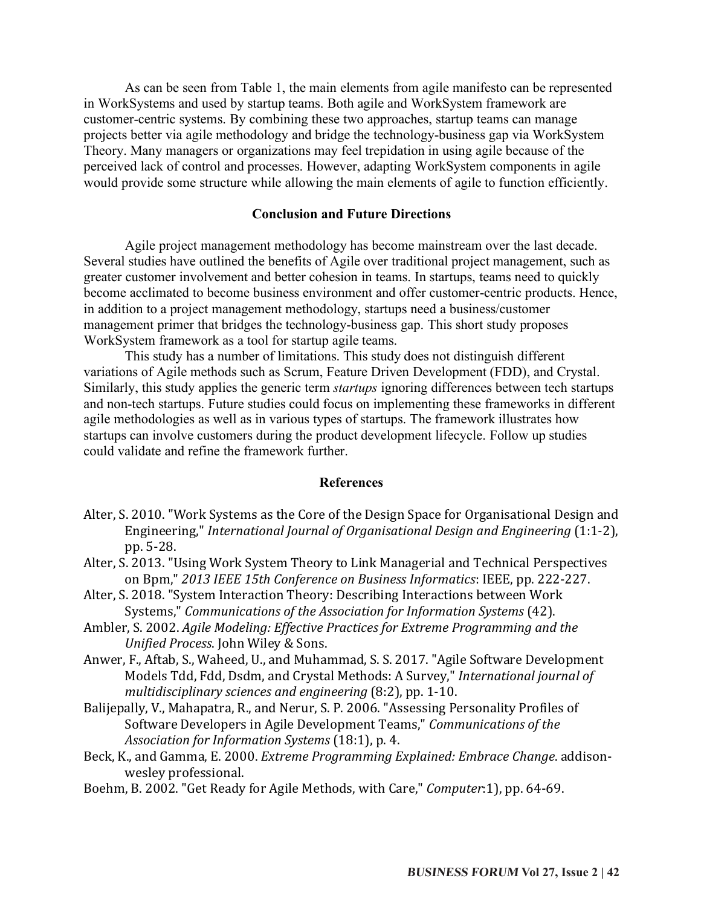As can be seen from Table 1, the main elements from agile manifesto can be represented in WorkSystems and used by startup teams. Both agile and WorkSystem framework are customer-centric systems. By combining these two approaches, startup teams can manage projects better via agile methodology and bridge the technology-business gap via WorkSystem Theory. Many managers or organizations may feel trepidation in using agile because of the perceived lack of control and processes. However, adapting WorkSystem components in agile would provide some structure while allowing the main elements of agile to function efficiently.

#### **Conclusion and Future Directions**

Agile project management methodology has become mainstream over the last decade. Several studies have outlined the benefits of Agile over traditional project management, such as greater customer involvement and better cohesion in teams. In startups, teams need to quickly become acclimated to become business environment and offer customer-centric products. Hence, in addition to a project management methodology, startups need a business/customer management primer that bridges the technology-business gap. This short study proposes WorkSystem framework as a tool for startup agile teams.

This study has a number of limitations. This study does not distinguish different variations of Agile methods such as Scrum, Feature Driven Development (FDD), and Crystal. Similarly, this study applies the generic term *startups* ignoring differences between tech startups and non-tech startups. Future studies could focus on implementing these frameworks in different agile methodologies as well as in various types of startups. The framework illustrates how startups can involve customers during the product development lifecycle. Follow up studies could validate and refine the framework further.

#### **References**

- Alter, S. 2010. "Work Systems as the Core of the Design Space for Organisational Design and Engineering," *International Journal of Organisational Design and Engineering* (1:1-2), pp. 5-28.
- Alter, S. 2013. "Using Work System Theory to Link Managerial and Technical Perspectives on Bpm," 2013 IEEE 15th Conference on Business Informatics: IEEE, pp. 222-227.
- Alter, S. 2018. "System Interaction Theory: Describing Interactions between Work Systems," *Communications of the Association for Information Systems* (42).
- Ambler, S. 2002. *Agile Modeling: Effective Practices for Extreme Programming and the Unified Process*. John Wiley & Sons.
- Anwer, F., Aftab, S., Waheed, U., and Muhammad, S. S. 2017. "Agile Software Development Models Tdd, Fdd, Dsdm, and Crystal Methods: A Survey," *International journal of multidisciplinary sciences and engineering* (8:2), pp. 1-10.
- Balijepally, V., Mahapatra, R., and Nerur, S. P. 2006. "Assessing Personality Profiles of Software Developers in Agile Development Teams," *Communications of the Association for Information Systems* (18:1), p. 4.
- Beck, K., and Gamma, E. 2000. *Extreme Programming Explained: Embrace Change*. addisonwesley professional.
- Boehm, B. 2002. "Get Ready for Agile Methods, with Care," *Computer*:1), pp. 64-69.